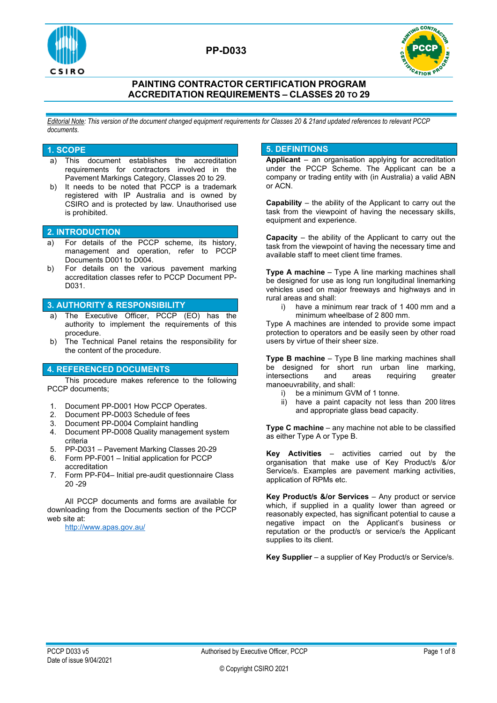

**PP-D033**



## **PAINTING CONTRACTOR CERTIFICATION PROGRAM ACCREDITATION REQUIREMENTS – CLASSES 20 TO 29**

*Editorial Note: This version of the document changed equipment requirements for Classes 20 & 21and updated references to relevant PCCP documents.*

#### **1. SCOPE**

- a) This document establishes the accreditation requirements for contractors involved in the Pavement Markings Category, Classes 20 to 29.
- b) It needs to be noted that PCCP is a trademark registered with IP Australia and is owned by CSIRO and is protected by law. Unauthorised use is prohibited.

### **2. INTRODUCTION**

- a) For details of the PCCP scheme, its history, management and operation, refer to PCCP Documents D001 to D004.
- b) For details on the various pavement marking accreditation classes refer to PCCP Document PP-D031.

### **3. AUTHORITY & RESPONSIBILITY**

- a) The Executive Officer, PCCP (EO) has the authority to implement the requirements of this procedure.
- b) The Technical Panel retains the responsibility for the content of the procedure.

### **4. REFERENCED DOCUMENTS**

This procedure makes reference to the following PCCP documents;

- 1. Document PP-D001 How PCCP Operates.<br>2. Document PP-D003 Schedule of fees
- Document PP-D003 Schedule of fees
- 
- 3. Document PP-D004 Complaint handling 4. Document PP-D008 Quality management system criteria
- 5. PP-D031 Pavement Marking Classes 20-29
- 6. Form PP-F001 Initial application for PCCP accreditation
- 7. Form PP-F04– Initial pre-audit questionnaire Class 20 -29

All PCCP documents and forms are available for downloading from the Documents section of the PCCP web site at:

<http://www.apas.gov.au/>

### **5. DEFINITIONS**

**Applicant** – an organisation applying for accreditation under the PCCP Scheme. The Applicant can be a company or trading entity with (in Australia) a valid ABN or ACN.

**Capability** – the ability of the Applicant to carry out the task from the viewpoint of having the necessary skills, equipment and experience.

**Capacity** – the ability of the Applicant to carry out the task from the viewpoint of having the necessary time and available staff to meet client time frames.

**Type A machine** – Type A line marking machines shall be designed for use as long run longitudinal linemarking vehicles used on major freeways and highways and in rural areas and shall:<br>i) have a minin

have a minimum rear track of 1 400 mm and a minimum wheelbase of 2 800 mm.

Type A machines are intended to provide some impact protection to operators and be easily seen by other road users by virtue of their sheer size.

**Type B machine** – Type B line marking machines shall be designed for short run urban line marking,<br>intersections and areas requiring greater intersections and areas requiring manoeuvrability, and shall:

- i) be a minimum GVM of 1 tonne.
- ii) have a paint capacity not less than 200 litres and appropriate glass bead capacity.

**Type C machine** – any machine not able to be classified as either Type A or Type B.

**Key Activities** – activities carried out by the organisation that make use of Key Product/s &/or Service/s. Examples are pavement marking activities, application of RPMs etc.

**Key Product/s &/or Services** – Any product or service which, if supplied in a quality lower than agreed or reasonably expected, has significant potential to cause a negative impact on the Applicant's business or reputation or the product/s or service/s the Applicant supplies to its client.

**Key Supplier** – a supplier of Key Product/s or Service/s.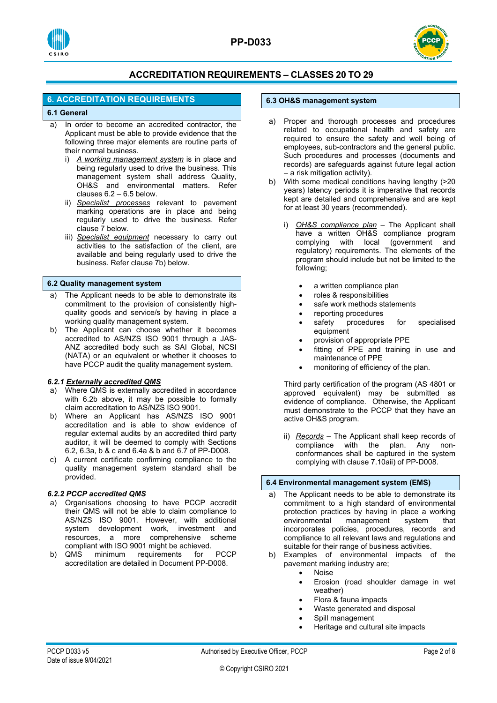



## **6. ACCREDITATION REQUIREMENTS**

### **6.1 General**

- a) In order to become an accredited contractor, the Applicant must be able to provide evidence that the following three major elements are routine parts of their normal business.<br>i) A working manage
	- A working management system is in place and being regularly used to drive the business. This management system shall address Quality, OH&S and environmental matters. Refer clauses 6.2 – 6.5 below.
	- ii) *Specialist processes* relevant to pavement marking operations are in place and being regularly used to drive the business. Refer clause 7 below.
	- iii) *Specialist equipment* necessary to carry out activities to the satisfaction of the client, are available and being regularly used to drive the business. Refer clause 7b) below.

#### **6.2 Quality management system**

- a) The Applicant needs to be able to demonstrate its commitment to the provision of consistently highquality goods and service/s by having in place a working quality management system.
- b) The Applicant can choose whether it becomes accredited to AS/NZS ISO 9001 through a JAS-ANZ accredited body such as SAI Global, NCSI (NATA) or an equivalent or whether it chooses to have PCCP audit the quality management system.

### *6.2.1 Externally accredited QMS*

- a) Where QMS is externally accredited in accordance with 6.2b above, it may be possible to formally claim accreditation to AS/NZS ISO 9001.
- b) Where an Applicant has AS/NZS ISO 9001 accreditation and is able to show evidence of regular external audits by an accredited third party auditor, it will be deemed to comply with Sections 6.2, 6.3a, b & c and 6.4a & b and 6.7 of PP-D008.
- c) A current certificate confirming compliance to the quality management system standard shall be provided.

### *6.2.2 PCCP accredited QMS*

- a) Organisations choosing to have PCCP accredit their QMS will not be able to claim compliance to AS/NZS ISO 9001. However, with additional system development work, investment and resources, a more comprehensive scheme compliant with ISO 9001 might be achieved.
- b) QMS minimum requirements for PCCP accreditation are detailed in Document PP-D008.

#### **6.3 OH&S management system**

- a) Proper and thorough processes and procedures related to occupational health and safety are required to ensure the safety and well being of employees, sub-contractors and the general public. Such procedures and processes (documents and records) are safeguards against future legal action – a risk mitigation activity).
- b) With some medical conditions having lengthy (>20 years) latency periods it is imperative that records kept are detailed and comprehensive and are kept for at least 30 years (recommended).
	- i) *OH&S compliance plan* The Applicant shall have a written OH&S compliance program complying with local (government and regulatory) requirements. The elements of the program should include but not be limited to the following;
		- a written compliance plan
		- roles & responsibilities
		- safe work methods statements
		- reporting procedures
		- safety procedures for specialised equipment
		- provision of appropriate PPE
		- fitting of PPE and training in use and maintenance of PPE
		- monitoring of efficiency of the plan.

Third party certification of the program (AS 4801 or approved equivalent) may be submitted as evidence of compliance. Otherwise, the Applicant must demonstrate to the PCCP that they have an active OH&S program.

ii) **Records** – The Applicant shall keep records of compliance with the plan. Any noncompliance with the conformances shall be captured in the system complying with clause 7.10aii) of PP-D008.

### **6.4 Environmental management system (EMS)**

- The Applicant needs to be able to demonstrate its commitment to a high standard of environmental protection practices by having in place a working<br>environmental management system that management system that incorporates policies, procedures, records and compliance to all relevant laws and regulations and suitable for their range of business activities.
- b) Examples of environmental impacts of the pavement marking industry are;
	- Noise
	- Erosion (road shoulder damage in wet weather)
	- Flora & fauna impacts
	- Waste generated and disposal
	- Spill management
	- Heritage and cultural site impacts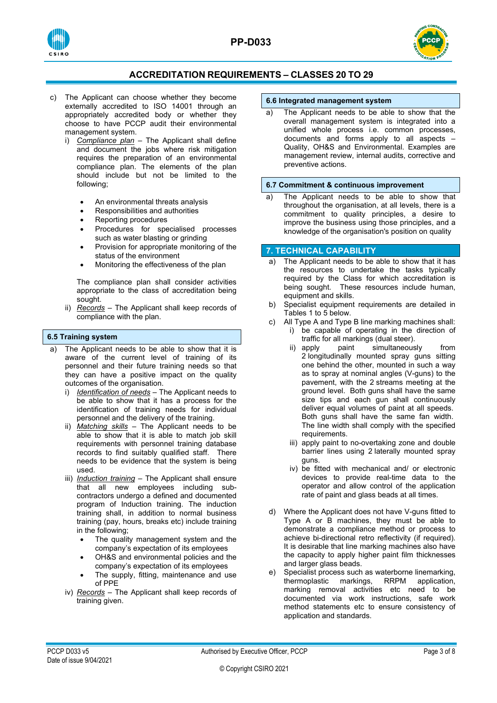



- c) The Applicant can choose whether they become externally accredited to ISO 14001 through an appropriately accredited body or whether they choose to have PCCP audit their environmental management system.
	- i) *Compliance plan* The Applicant shall define and document the jobs where risk mitigation requires the preparation of an environmental compliance plan. The elements of the plan should include but not be limited to the following;
		- An environmental threats analysis
		- Responsibilities and authorities
		- Reporting procedures
		- Procedures for specialised processes such as water blasting or grinding
		- Provision for appropriate monitoring of the status of the environment
		- Monitoring the effectiveness of the plan

The compliance plan shall consider activities appropriate to the class of accreditation being sought.

ii) *Records* – The Applicant shall keep records of compliance with the plan.

### **6.5 Training system**

- a) The Applicant needs to be able to show that it is aware of the current level of training of its personnel and their future training needs so that they can have a positive impact on the quality outcomes of the organisation.
	- i) *Identification of needs* The Applicant needs to be able to show that it has a process for the identification of training needs for individual personnel and the delivery of the training.
	- ii) *Matching skills* The Applicant needs to be able to show that it is able to match job skill requirements with personnel training database records to find suitably qualified staff. There needs to be evidence that the system is being used.
	- iii) *Induction training* The Applicant shall ensure that all new employees including subcontractors undergo a defined and documented program of Induction training. The induction training shall, in addition to normal business training (pay, hours, breaks etc) include training in the following;
		- The quality management system and the company's expectation of its employees
		- OH&S and environmental policies and the company's expectation of its employees
		- The supply, fitting, maintenance and use of PPE
	- iv) *Records* The Applicant shall keep records of training given.

#### **6.6 Integrated management system**

a) The Applicant needs to be able to show that the overall management system is integrated into a unified whole process i.e. common processes, documents and forms apply to all aspects – Quality, OH&S and Environmental. Examples are management review, internal audits, corrective and preventive actions.

#### **6.7 Commitment & continuous improvement**

a) The Applicant needs to be able to show that throughout the organisation, at all levels, there is a commitment to quality principles, a desire to improve the business using those principles, and a knowledge of the organisation's position on quality

### **7. TECHNICAL CAPABILITY**

- a) The Applicant needs to be able to show that it has the resources to undertake the tasks typically required by the Class for which accreditation is being sought. These resources include human, equipment and skills.
- b) Specialist equipment requirements are detailed in Tables 1 to 5 below.
- c) All Type A and Type B line marking machines shall: i) be capable of operating in the direction of
	- traffic for all markings (dual steer).<br>ii) apply paint simultaneous simultaneously from
	- 2 longitudinally mounted spray guns sitting one behind the other, mounted in such a way as to spray at nominal angles (V-guns) to the pavement, with the 2 streams meeting at the ground level. Both guns shall have the same size tips and each gun shall continuously deliver equal volumes of paint at all speeds. Both guns shall have the same fan width. The line width shall comply with the specified requirements.
	- iii) apply paint to no-overtaking zone and double barrier lines using 2 laterally mounted spray guns.
	- iv) be fitted with mechanical and/ or electronic devices to provide real-time data to the operator and allow control of the application rate of paint and glass beads at all times.
- d) Where the Applicant does not have V-guns fitted to Type A or B machines, they must be able to demonstrate a compliance method or process to achieve bi-directional retro reflectivity (if required). It is desirable that line marking machines also have the capacity to apply higher paint film thicknesses and larger glass beads.
- e) Specialist process such as waterborne linemarking, thermoplastic markings, RRPM application, marking removal activities etc need to be documented via work instructions, safe work method statements etc to ensure consistency of application and standards.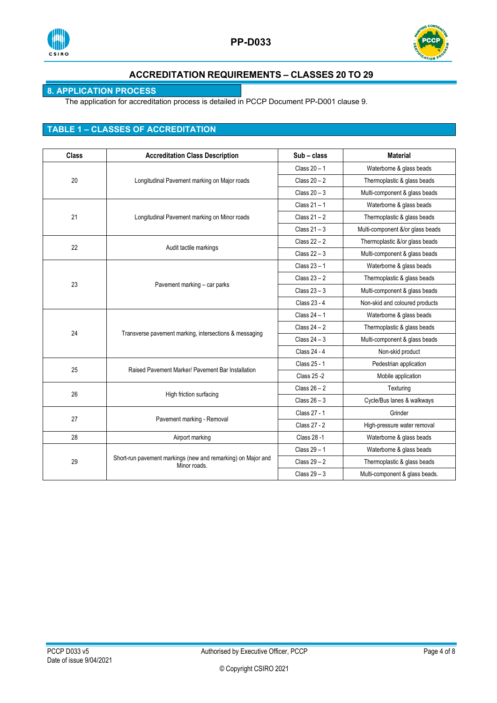



## **8. APPLICATION PROCESS**

The application for accreditation process is detailed in PCCP Document PP-D001 clause 9.

## **TABLE 1 – CLASSES OF ACCREDITATION**

| <b>Class</b> | <b>Accreditation Class Description</b>                                       | Sub - class    | <b>Material</b>                  |
|--------------|------------------------------------------------------------------------------|----------------|----------------------------------|
|              |                                                                              | Class $20 - 1$ | Waterborne & glass beads         |
| 20           | Longitudinal Pavement marking on Major roads                                 | Class $20 - 2$ | Thermoplastic & glass beads      |
|              |                                                                              | Class $20 - 3$ | Multi-component & glass beads    |
|              |                                                                              | Class $21 - 1$ | Waterborne & glass beads         |
| 21           | Longitudinal Pavement marking on Minor roads                                 | Class $21 - 2$ | Thermoplastic & glass beads      |
|              |                                                                              | Class $21 - 3$ | Multi-component &/or glass beads |
| 22           |                                                                              | Class $22 - 2$ | Thermoplastic &/or glass beads   |
|              | Audit tactile markings                                                       | Class $22 - 3$ | Multi-component & glass beads    |
|              |                                                                              | Class $23 - 1$ | Waterborne & glass beads         |
| 23           |                                                                              | Class $23 - 2$ | Thermoplastic & glass beads      |
|              | Pavement marking - car parks                                                 | Class $23 - 3$ | Multi-component & glass beads    |
|              |                                                                              | Class 23 - 4   | Non-skid and coloured products   |
|              |                                                                              | Class $24 - 1$ | Waterborne & glass beads         |
|              |                                                                              | Class $24 - 2$ | Thermoplastic & glass beads      |
| 24           | Transverse pavement marking, intersections & messaging                       | Class $24 - 3$ | Multi-component & glass beads    |
|              |                                                                              | Class 24 - 4   | Non-skid product                 |
| 25           | Raised Pavement Marker/ Pavement Bar Installation                            | Class 25 - 1   | Pedestrian application           |
|              |                                                                              | Class 25 - 2   | Mobile application               |
| 26           |                                                                              | Class $26 - 2$ | Texturing                        |
|              | High friction surfacing                                                      | Class $26 - 3$ | Cycle/Bus lanes & walkways       |
| 27           |                                                                              | Class 27 - 1   | Grinder                          |
|              | Pavement marking - Removal                                                   | Class 27 - 2   | High-pressure water removal      |
| 28           | Airport marking                                                              | Class 28 -1    | Waterborne & glass beads         |
|              |                                                                              | Class $29 - 1$ | Waterborne & glass beads         |
| 29           | Short-run pavement markings (new and remarking) on Major and<br>Minor roads. | Class $29 - 2$ | Thermoplastic & glass beads      |
|              |                                                                              | Class $29 - 3$ | Multi-component & glass beads.   |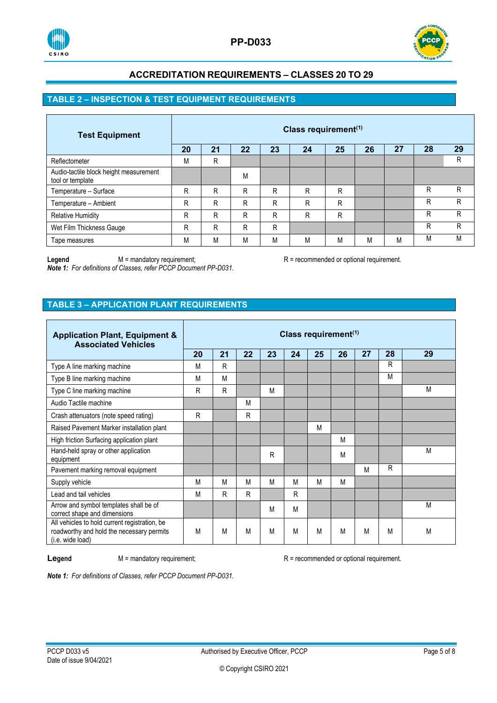



## **TABLE 2 – INSPECTION & TEST EQUIPMENT REQUIREMENTS**

| <b>Test Equipment</b>                                      | Class requirement <sup>(1)</sup> |    |    |    |    |    |    |    |    |    |  |  |
|------------------------------------------------------------|----------------------------------|----|----|----|----|----|----|----|----|----|--|--|
|                                                            | 20                               | 21 | 22 | 23 | 24 | 25 | 26 | 27 | 28 | 29 |  |  |
| Reflectometer                                              | M                                | R  |    |    |    |    |    |    |    | R  |  |  |
| Audio-tactile block height measurement<br>tool or template |                                  |    | M  |    |    |    |    |    |    |    |  |  |
| Temperature - Surface                                      | R                                | R  | R  | R  | R  | R  |    |    | R  | R  |  |  |
| Temperature - Ambient                                      | R                                | R  | R  | R  | R  | R  |    |    | R  | R  |  |  |
| <b>Relative Humidity</b>                                   | R                                | R  | R  | R  | R  | R  |    |    | R  | R  |  |  |
| Wet Film Thickness Gauge                                   | R                                | R  | R  | R  |    |    |    |    | R  | R  |  |  |
| Tape measures                                              | M                                | М  | M  | M  | М  | М  | М  | M  | M  | M  |  |  |

Legend M = mandatory requirement; R = recommended or optional requirement.

*Note 1: For definitions of Classes, refer PCCP Document PP-D031.*

## **TABLE 3 – APPLICATION PLANT REQUIREMENTS**

| <b>Application Plant, Equipment &amp;</b><br><b>Associated Vehicles</b>                                        | Class requirement $(1)$ |    |    |    |    |    |    |    |    |    |
|----------------------------------------------------------------------------------------------------------------|-------------------------|----|----|----|----|----|----|----|----|----|
|                                                                                                                | 20                      | 21 | 22 | 23 | 24 | 25 | 26 | 27 | 28 | 29 |
| Type A line marking machine                                                                                    | M                       | R  |    |    |    |    |    |    | R  |    |
| Type B line marking machine                                                                                    | M                       | M  |    |    |    |    |    |    | M  |    |
| Type C line marking machine                                                                                    | R                       | R  |    | М  |    |    |    |    |    | M  |
| Audio Tactile machine                                                                                          |                         |    | M  |    |    |    |    |    |    |    |
| Crash attenuators (note speed rating)                                                                          | R                       |    | R  |    |    |    |    |    |    |    |
| Raised Pavement Marker installation plant                                                                      |                         |    |    |    |    | M  |    |    |    |    |
| High friction Surfacing application plant                                                                      |                         |    |    |    |    |    | М  |    |    |    |
| Hand-held spray or other application<br>equipment                                                              |                         |    |    | R  |    |    | М  |    |    | M  |
| Pavement marking removal equipment                                                                             |                         |    |    |    |    |    |    | M  | R  |    |
| Supply vehicle                                                                                                 | M                       | M  | M  | М  | M  | M  | М  |    |    |    |
| Lead and tail vehicles                                                                                         | M                       | R  | R  |    | R  |    |    |    |    |    |
| Arrow and symbol templates shall be of<br>correct shape and dimensions                                         |                         |    |    | M  | M  |    |    |    |    | M  |
| All vehicles to hold current registration, be<br>roadworthy and hold the necessary permits<br>(i.e. wide load) | M                       | M  | M  | M  | M  | M  | M  | M  | M  | M  |

**Legend** M = mandatory requirement; R = recommended or optional requirement.

*Note 1: For definitions of Classes, refer PCCP Document PP-D031.*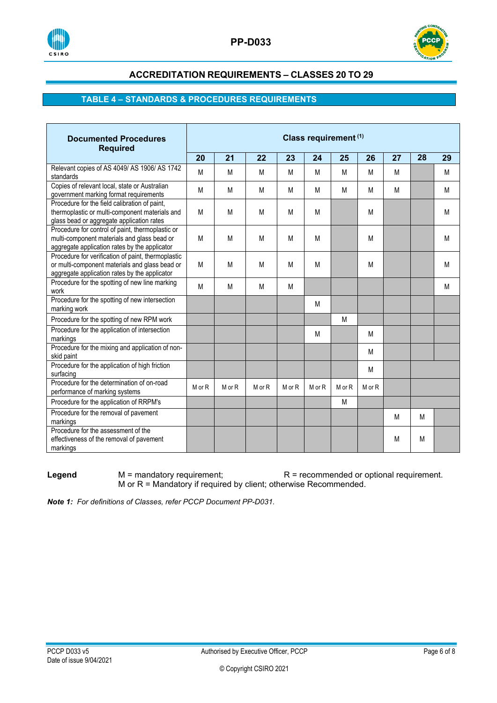



## **TABLE 4 – STANDARDS & PROCEDURES REQUIREMENTS**

| <b>Documented Procedures</b><br><b>Required</b>                                                                                                       | Class requirement (1) |        |        |        |        |        |        |    |    |    |  |  |
|-------------------------------------------------------------------------------------------------------------------------------------------------------|-----------------------|--------|--------|--------|--------|--------|--------|----|----|----|--|--|
|                                                                                                                                                       |                       | 21     | 22     | 23     | 24     | 25     | 26     | 27 | 28 | 29 |  |  |
| Relevant copies of AS 4049/ AS 1906/ AS 1742<br>standards                                                                                             | M                     | M      | M      | M      | M      | М      | M      | M  |    | M  |  |  |
| Copies of relevant local, state or Australian<br>government marking format requirements                                                               | M                     | M      | M      | M      | M      | M      | M      | M  |    | M  |  |  |
| Procedure for the field calibration of paint,<br>thermoplastic or multi-component materials and<br>glass bead or aggregate application rates          | M                     | M      | М      | M      | M      |        | M      |    |    | М  |  |  |
| Procedure for control of paint, thermoplastic or<br>multi-component materials and glass bead or<br>aggregate application rates by the applicator      | M                     | M      | M      | M      | M      |        | M      |    |    | M  |  |  |
| Procedure for verification of paint, thermoplastic<br>or multi-component materials and glass bead or<br>aggregate application rates by the applicator | M                     | M      | M      | M      | M      |        | M      |    |    | M  |  |  |
| Procedure for the spotting of new line marking<br>work                                                                                                | M                     | M      | M      | М      |        |        |        |    |    | М  |  |  |
| Procedure for the spotting of new intersection<br>marking work                                                                                        |                       |        |        |        | M      |        |        |    |    |    |  |  |
| Procedure for the spotting of new RPM work                                                                                                            |                       |        |        |        |        | M      |        |    |    |    |  |  |
| Procedure for the application of intersection<br>markings                                                                                             |                       |        |        |        | M      |        | M      |    |    |    |  |  |
| Procedure for the mixing and application of non-<br>skid paint                                                                                        |                       |        |        |        |        |        | M      |    |    |    |  |  |
| Procedure for the application of high friction<br>surfacing                                                                                           |                       |        |        |        |        |        | M      |    |    |    |  |  |
| Procedure for the determination of on-road<br>performance of marking systems                                                                          | M or R                | M or R | M or R | M or R | M or R | M or R | M or R |    |    |    |  |  |
| Procedure for the application of RRPM's                                                                                                               |                       |        |        |        |        | M      |        |    |    |    |  |  |
| Procedure for the removal of pavement<br>markings                                                                                                     |                       |        |        |        |        |        |        | M  | M  |    |  |  |
| Procedure for the assessment of the<br>effectiveness of the removal of pavement<br>markings                                                           |                       |        |        |        |        |        |        | M  | M  |    |  |  |

**Legend** M = mandatory requirement; R = recommended or optional requirement. M or R = Mandatory if required by client; otherwise Recommended.

*Note 1: For definitions of Classes, refer PCCP Document PP-D031.*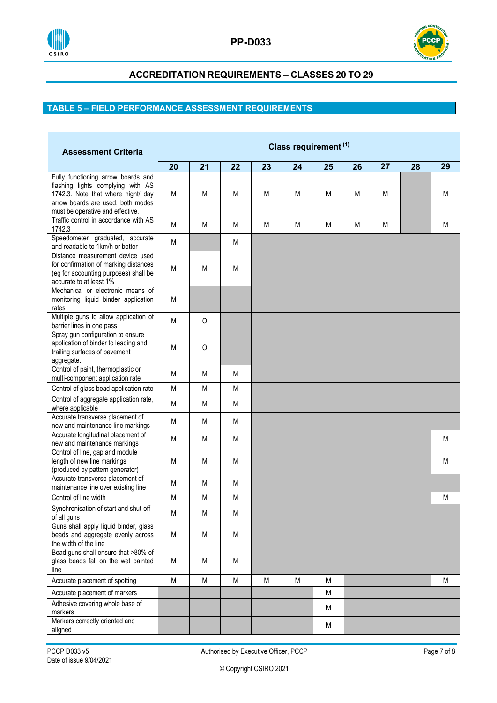



# **TABLE 5 – FIELD PERFORMANCE ASSESSMENT REQUIREMENTS**

| <b>Assessment Criteria</b>                                                                                                                                                             | Class requirement (1) |          |    |    |    |    |    |    |    |    |  |  |
|----------------------------------------------------------------------------------------------------------------------------------------------------------------------------------------|-----------------------|----------|----|----|----|----|----|----|----|----|--|--|
|                                                                                                                                                                                        | 20                    | 21       | 22 | 23 | 24 | 25 | 26 | 27 | 28 | 29 |  |  |
| Fully functioning arrow boards and<br>flashing lights complying with AS<br>1742.3. Note that where night/ day<br>arrow boards are used, both modes<br>must be operative and effective. | M                     | М        | M  | M  | M  | M  | M  | M  |    | M  |  |  |
| Traffic control in accordance with AS<br>1742.3                                                                                                                                        | M                     | М        | M  | M  | M  | М  | М  | M  |    | M  |  |  |
| Speedometer graduated, accurate<br>and readable to 1km/h or better                                                                                                                     | М                     |          | M  |    |    |    |    |    |    |    |  |  |
| Distance measurement device used<br>for confirmation of marking distances<br>(eg for accounting purposes) shall be<br>accurate to at least 1%                                          | М                     | М        | M  |    |    |    |    |    |    |    |  |  |
| Mechanical or electronic means of<br>monitoring liquid binder application<br>rates                                                                                                     | M                     |          |    |    |    |    |    |    |    |    |  |  |
| Multiple guns to allow application of<br>barrier lines in one pass                                                                                                                     | M                     | O        |    |    |    |    |    |    |    |    |  |  |
| Spray gun configuration to ensure<br>application of binder to leading and<br>trailing surfaces of pavement<br>aggregate.                                                               | М                     | $\Omega$ |    |    |    |    |    |    |    |    |  |  |
| Control of paint, thermoplastic or<br>multi-component application rate                                                                                                                 | M                     | M        | М  |    |    |    |    |    |    |    |  |  |
| Control of glass bead application rate                                                                                                                                                 | M                     | М        | M  |    |    |    |    |    |    |    |  |  |
| Control of aggregate application rate,<br>where applicable                                                                                                                             | M                     | М        | M  |    |    |    |    |    |    |    |  |  |
| Accurate transverse placement of<br>new and maintenance line markings                                                                                                                  | M                     | М        | М  |    |    |    |    |    |    |    |  |  |
| Accurate longitudinal placement of<br>new and maintenance markings                                                                                                                     | M                     | М        | М  |    |    |    |    |    |    | М  |  |  |
| Control of line, gap and module<br>length of new line markings<br>(produced by pattern generator)                                                                                      | M                     | M        | M  |    |    |    |    |    |    | M  |  |  |
| Accurate transverse placement of<br>maintenance line over existing line                                                                                                                | M                     | М        | M  |    |    |    |    |    |    |    |  |  |
| Control of line width                                                                                                                                                                  | M                     | М        | М  |    |    |    |    |    |    | M  |  |  |
| Synchronisation of start and shut-off<br>of all guns                                                                                                                                   | M                     | M        | M  |    |    |    |    |    |    |    |  |  |
| Guns shall apply liquid binder, glass<br>beads and aggregate evenly across<br>the width of the line                                                                                    | M                     | M        | M  |    |    |    |    |    |    |    |  |  |
| Bead guns shall ensure that >80% of<br>glass beads fall on the wet painted<br>line                                                                                                     | M                     | M        | M  |    |    |    |    |    |    |    |  |  |
| Accurate placement of spotting                                                                                                                                                         | M                     | M        | M  | M  | M  | M  |    |    |    | M  |  |  |
| Accurate placement of markers                                                                                                                                                          |                       |          |    |    |    | M  |    |    |    |    |  |  |
| Adhesive covering whole base of<br>markers                                                                                                                                             |                       |          |    |    |    | M  |    |    |    |    |  |  |
| Markers correctly oriented and<br>aligned                                                                                                                                              |                       |          |    |    |    | M  |    |    |    |    |  |  |